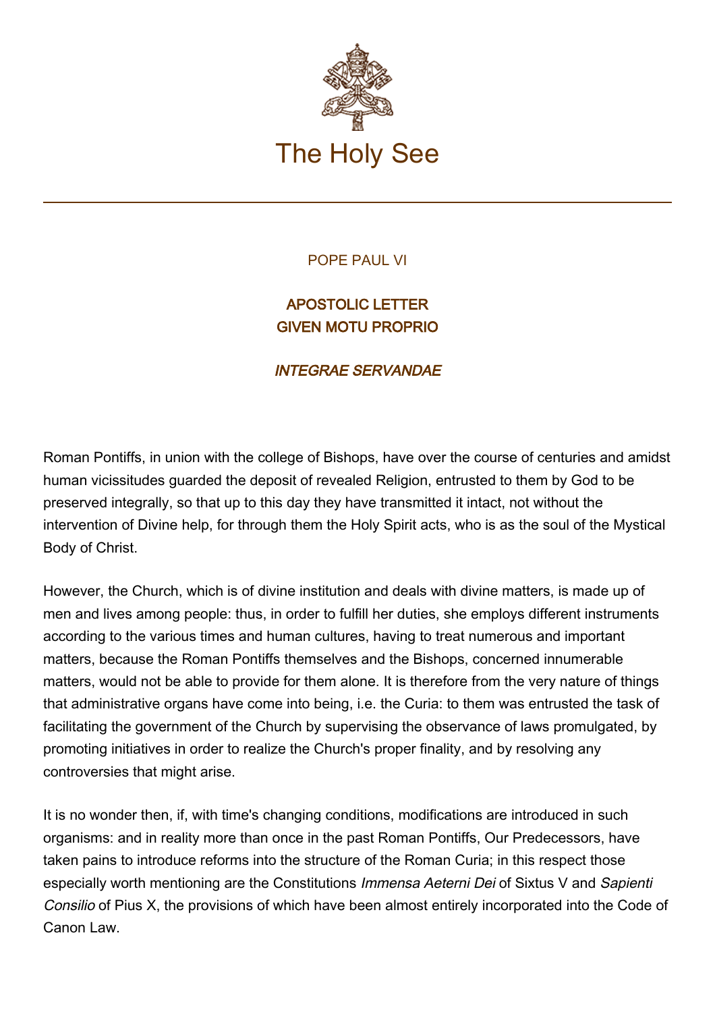

## POPE PAUL VI

## APOSTOLIC LETTER GIVEN MOTU PROPRIO

## INTEGRAE SERVANDAE

Roman Pontiffs, in union with the college of Bishops, have over the course of centuries and amidst human vicissitudes guarded the deposit of revealed Religion, entrusted to them by God to be preserved integrally, so that up to this day they have transmitted it intact, not without the intervention of Divine help, for through them the Holy Spirit acts, who is as the soul of the Mystical Body of Christ.

However, the Church, which is of divine institution and deals with divine matters, is made up of men and lives among people: thus, in order to fulfill her duties, she employs different instruments according to the various times and human cultures, having to treat numerous and important matters, because the Roman Pontiffs themselves and the Bishops, concerned innumerable matters, would not be able to provide for them alone. It is therefore from the very nature of things that administrative organs have come into being, i.e. the Curia: to them was entrusted the task of facilitating the government of the Church by supervising the observance of laws promulgated, by promoting initiatives in order to realize the Church's proper finality, and by resolving any controversies that might arise.

It is no wonder then, if, with time's changing conditions, modifications are introduced in such organisms: and in reality more than once in the past Roman Pontiffs, Our Predecessors, have taken pains to introduce reforms into the structure of the Roman Curia; in this respect those especially worth mentioning are the Constitutions Immensa Aeterni Dei of Sixtus V and Sapienti Consilio of Pius X, the provisions of which have been almost entirely incorporated into the Code of Canon Law.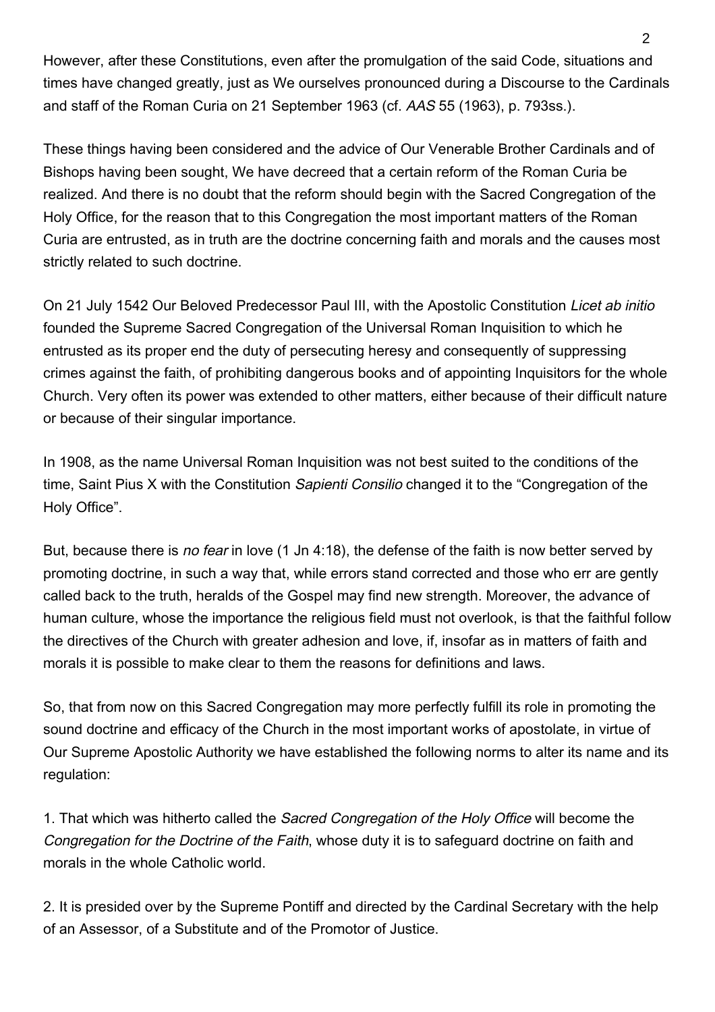However, after these Constitutions, even after the promulgation of the said Code, situations and times have changed greatly, just as We ourselves pronounced during a Discourse to the Cardinals and staff of the Roman Curia on 21 September 1963 (cf. AAS 55 (1963), p. 793ss.).

These things having been considered and the advice of Our Venerable Brother Cardinals and of Bishops having been sought, We have decreed that a certain reform of the Roman Curia be realized. And there is no doubt that the reform should begin with the Sacred Congregation of the Holy Office, for the reason that to this Congregation the most important matters of the Roman Curia are entrusted, as in truth are the doctrine concerning faith and morals and the causes most strictly related to such doctrine.

On 21 July 1542 Our Beloved Predecessor Paul III, with the Apostolic Constitution Licet ab initio founded the Supreme Sacred Congregation of the Universal Roman Inquisition to which he entrusted as its proper end the duty of persecuting heresy and consequently of suppressing crimes against the faith, of prohibiting dangerous books and of appointing Inquisitors for the whole Church. Very often its power was extended to other matters, either because of their difficult nature or because of their singular importance.

In 1908, as the name Universal Roman Inquisition was not best suited to the conditions of the time, Saint Pius X with the Constitution Sapienti Consilio changed it to the "Congregation of the Holy Office".

But, because there is *no fear* in love (1 Jn 4:18), the defense of the faith is now better served by promoting doctrine, in such a way that, while errors stand corrected and those who err are gently called back to the truth, heralds of the Gospel may find new strength. Moreover, the advance of human culture, whose the importance the religious field must not overlook, is that the faithful follow the directives of the Church with greater adhesion and love, if, insofar as in matters of faith and morals it is possible to make clear to them the reasons for definitions and laws.

So, that from now on this Sacred Congregation may more perfectly fulfill its role in promoting the sound doctrine and efficacy of the Church in the most important works of apostolate, in virtue of Our Supreme Apostolic Authority we have established the following norms to alter its name and its regulation:

1. That which was hitherto called the Sacred Congregation of the Holy Office will become the Congregation for the Doctrine of the Faith, whose duty it is to safeguard doctrine on faith and morals in the whole Catholic world.

2. It is presided over by the Supreme Pontiff and directed by the Cardinal Secretary with the help of an Assessor, of a Substitute and of the Promotor of Justice.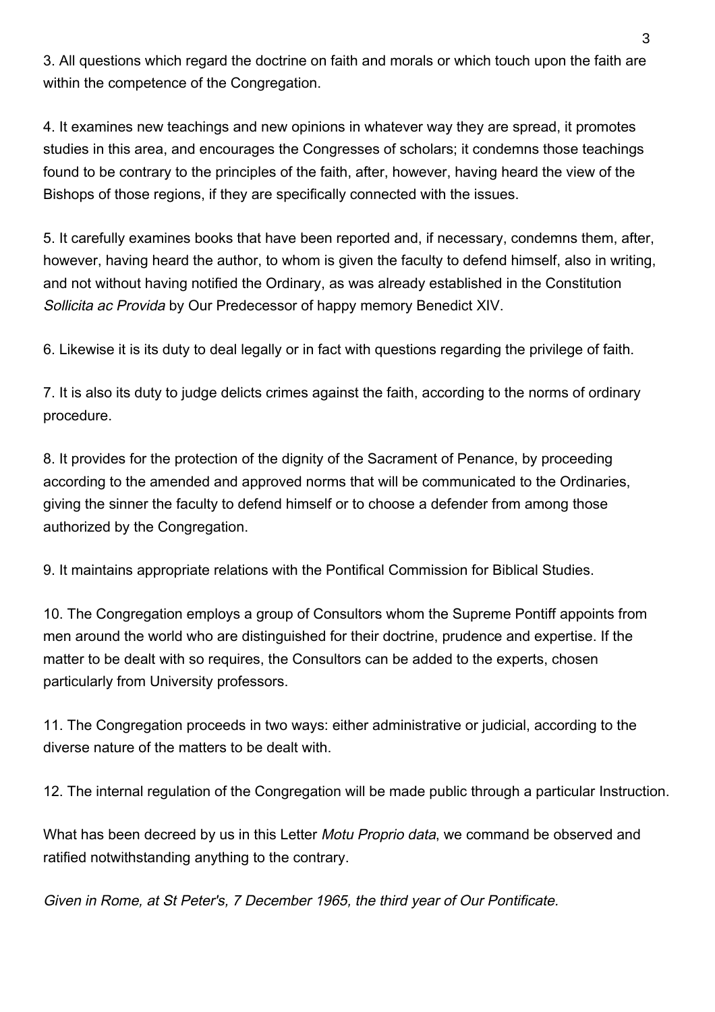3. All questions which regard the doctrine on faith and morals or which touch upon the faith are within the competence of the Congregation.

4. It examines new teachings and new opinions in whatever way they are spread, it promotes studies in this area, and encourages the Congresses of scholars; it condemns those teachings found to be contrary to the principles of the faith, after, however, having heard the view of the Bishops of those regions, if they are specifically connected with the issues.

5. It carefully examines books that have been reported and, if necessary, condemns them, after, however, having heard the author, to whom is given the faculty to defend himself, also in writing, and not without having notified the Ordinary, as was already established in the Constitution Sollicita ac Provida by Our Predecessor of happy memory Benedict XIV.

6. Likewise it is its duty to deal legally or in fact with questions regarding the privilege of faith.

7. It is also its duty to judge delicts crimes against the faith, according to the norms of ordinary procedure.

8. It provides for the protection of the dignity of the Sacrament of Penance, by proceeding according to the amended and approved norms that will be communicated to the Ordinaries, giving the sinner the faculty to defend himself or to choose a defender from among those authorized by the Congregation.

9. It maintains appropriate relations with the Pontifical Commission for Biblical Studies.

10. The Congregation employs a group of Consultors whom the Supreme Pontiff appoints from men around the world who are distinguished for their doctrine, prudence and expertise. If the matter to be dealt with so requires, the Consultors can be added to the experts, chosen particularly from University professors.

11. The Congregation proceeds in two ways: either administrative or judicial, according to the diverse nature of the matters to be dealt with.

12. The internal regulation of the Congregation will be made public through a particular Instruction.

What has been decreed by us in this Letter Motu Proprio data, we command be observed and ratified notwithstanding anything to the contrary.

Given in Rome, at St Peter's, 7 December 1965, the third year of Our Pontificate.